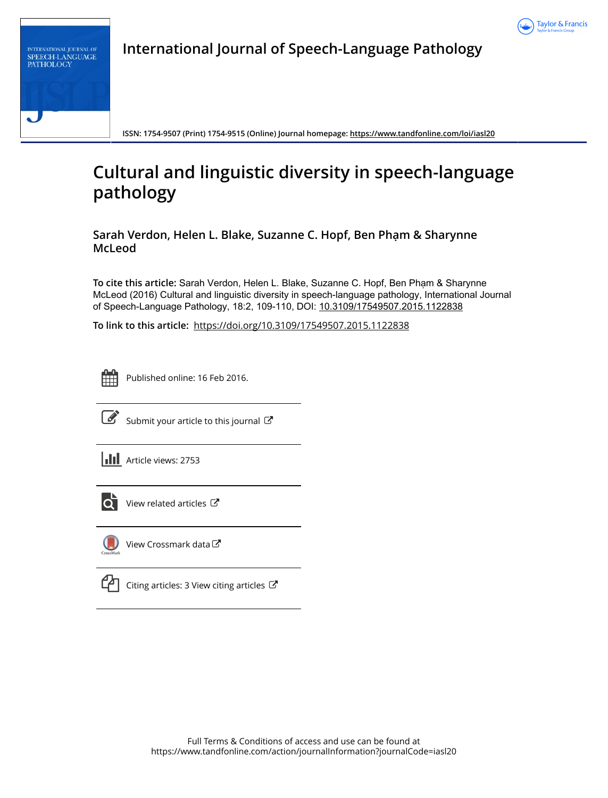

| <b>INTERNATIONAL JOURNAL OF</b><br><b>SPEECH-LANGUAGE</b><br><b>PATHOLOGY</b> |
|-------------------------------------------------------------------------------|
|                                                                               |
|                                                                               |

**International Journal of Speech-Language Pathology**

**ISSN: 1754-9507 (Print) 1754-9515 (Online) Journal homepage:<https://www.tandfonline.com/loi/iasl20>**

## **Cultural and linguistic diversity in speech-language pathology**

**Sarah Verdon, Helen L. Blake, Suzanne C. Hopf, Ben Phạm & Sharynne McLeod**

**To cite this article:** Sarah Verdon, Helen L. Blake, Suzanne C. Hopf, Ben Phạm & Sharynne McLeod (2016) Cultural and linguistic diversity in speech-language pathology, International Journal of Speech-Language Pathology, 18:2, 109-110, DOI: [10.3109/17549507.2015.1122838](https://www.tandfonline.com/action/showCitFormats?doi=10.3109/17549507.2015.1122838)

**To link to this article:** <https://doi.org/10.3109/17549507.2015.1122838>



Published online: 16 Feb 2016.



 $\overline{\mathscr{L}}$  [Submit your article to this journal](https://www.tandfonline.com/action/authorSubmission?journalCode=iasl20&show=instructions)  $\mathbb{F}$ 

**Article views: 2753** 



 $\overrightarrow{Q}$  [View related articles](https://www.tandfonline.com/doi/mlt/10.3109/17549507.2015.1122838)  $\overrightarrow{C}$ 



[View Crossmark data](http://crossmark.crossref.org/dialog/?doi=10.3109/17549507.2015.1122838&domain=pdf&date_stamp=2016-02-16)  $\mathbb{Z}$ 



 $\mathbb{C}$  [Citing articles: 3 View citing articles](https://www.tandfonline.com/doi/citedby/10.3109/17549507.2015.1122838#tabModule)  $\mathbb{C}$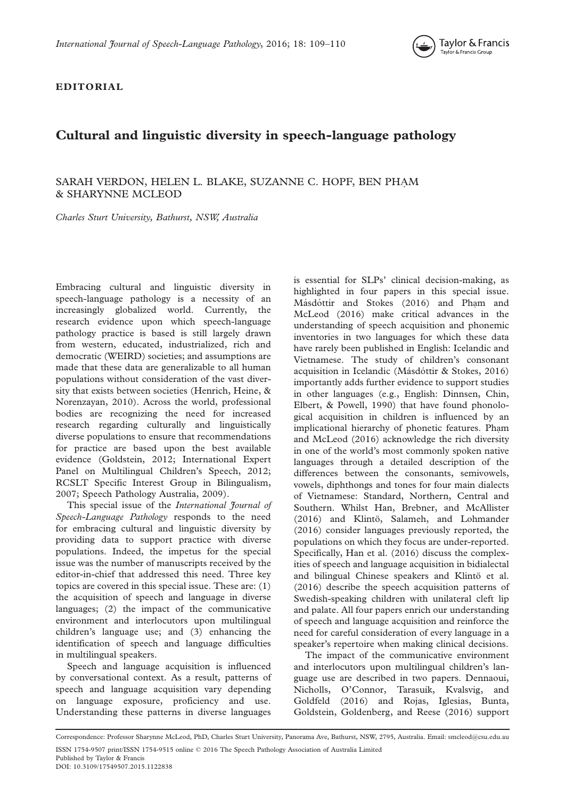

EDITORIAL

## Cultural and linguistic diversity in speech-language pathology

## SARAH VERDON, HELEN L. BLAKE, SUZANNE C. HOPF, BEN PHA M \_ & SHARYNNE MCLEOD

Charles Sturt University, Bathurst, NSW, Australia

Embracing cultural and linguistic diversity in speech-language pathology is a necessity of an increasingly globalized world. Currently, the research evidence upon which speech-language pathology practice is based is still largely drawn from western, educated, industrialized, rich and democratic (WEIRD) societies; and assumptions are made that these data are generalizable to all human populations without consideration of the vast diversity that exists between societies (Henrich, Heine, & Norenzayan, [2010](#page-2-0)). Across the world, professional bodies are recognizing the need for increased research regarding culturally and linguistically diverse populations to ensure that recommendations for practice are based upon the best available evidence (Goldstein, [2012](#page-2-0); International Expert Panel on Multilingual Children's Speech, [2012;](#page-2-0) RCSLT Specific Interest Group in Bilingualism, [2007;](#page-2-0) Speech Pathology Australia, [2009](#page-2-0)).

This special issue of the *International Journal of* Speech-Language Pathology responds to the need for embracing cultural and linguistic diversity by providing data to support practice with diverse populations. Indeed, the impetus for the special issue was the number of manuscripts received by the editor-in-chief that addressed this need. Three key topics are covered in this special issue. These are: (1) the acquisition of speech and language in diverse languages; (2) the impact of the communicative environment and interlocutors upon multilingual children's language use; and (3) enhancing the identification of speech and language difficulties in multilingual speakers.

Speech and language acquisition is influenced by conversational context. As a result, patterns of speech and language acquisition vary depending on language exposure, proficiency and use. Understanding these patterns in diverse languages

is essential for SLPs' clinical decision-making, as highlighted in four papers in this special issue. Másdóttir and Stokes [\(2016](#page-2-0)) and Phạm and McLeod [\(2016\)](#page-2-0) make critical advances in the understanding of speech acquisition and phonemic inventories in two languages for which these data have rarely been published in English: Icelandic and Vietnamese. The study of children's consonant acquisition in Icelandic (Másdóttir & Stokes, [2016\)](#page-2-0) importantly adds further evidence to support studies in other languages (e.g., English: Dinnsen, Chin, Elbert, & Powell, [1990\)](#page-2-0) that have found phonological acquisition in children is influenced by an implicational hierarchy of phonetic features. Phạm and McLeod [\(2016](#page-2-0)) acknowledge the rich diversity in one of the world's most commonly spoken native languages through a detailed description of the differences between the consonants, semivowels, vowels, diphthongs and tones for four main dialects of Vietnamese: Standard, Northern, Central and Southern. Whilst Han, Brebner, and McAllister [\(2016\)](#page-2-0) and Klintö, Salameh, and Lohmander [\(2016\)](#page-2-0) consider languages previously reported, the populations on which they focus are under-reported. Specifically, Han et al. ([2016\)](#page-2-0) discuss the complexities of speech and language acquisition in bidialectal and bilingual Chinese speakers and Klintö et al. [\(2016\)](#page-2-0) describe the speech acquisition patterns of Swedish-speaking children with unilateral cleft lip and palate. All four papers enrich our understanding of speech and language acquisition and reinforce the need for careful consideration of every language in a speaker's repertoire when making clinical decisions.

The impact of the communicative environment and interlocutors upon multilingual children's language use are described in two papers. Dennaoui, Nicholls, O'Connor, Tarasuik, Kvalsvig, and Goldfeld [\(2016](#page-2-0)) and Rojas, Iglesias, Bunta, Goldstein, Goldenberg, and Reese ([2016\)](#page-2-0) support